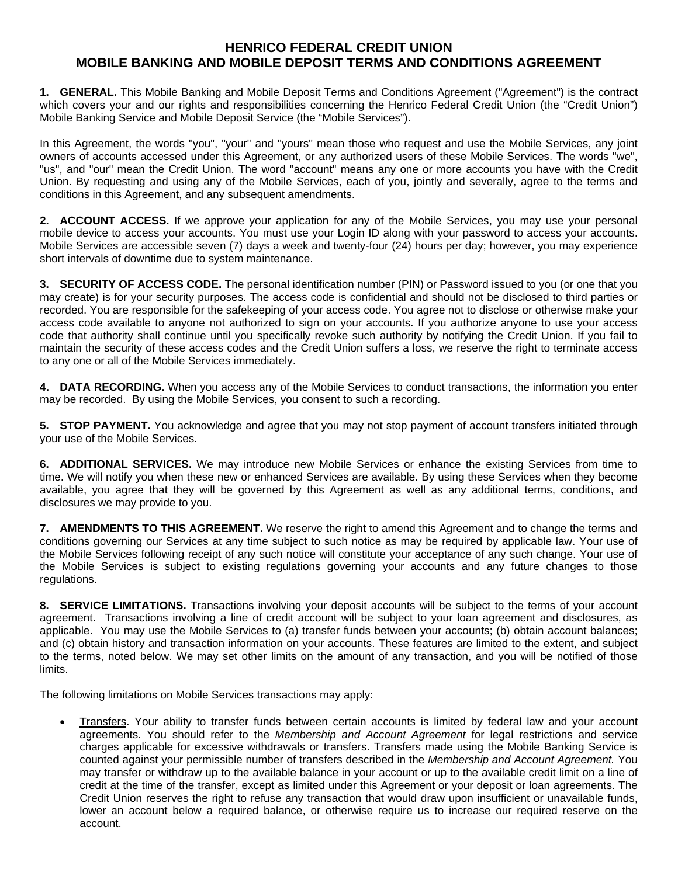## **HENRICO FEDERAL CREDIT UNION MOBILE BANKING AND MOBILE DEPOSIT TERMS AND CONDITIONS AGREEMENT**

**1. GENERAL.** This Mobile Banking and Mobile Deposit Terms and Conditions Agreement ("Agreement") is the contract which covers your and our rights and responsibilities concerning the Henrico Federal Credit Union (the "Credit Union") Mobile Banking Service and Mobile Deposit Service (the "Mobile Services").

In this Agreement, the words "you", "your" and "yours" mean those who request and use the Mobile Services, any joint owners of accounts accessed under this Agreement, or any authorized users of these Mobile Services. The words "we", "us", and "our" mean the Credit Union. The word "account" means any one or more accounts you have with the Credit Union. By requesting and using any of the Mobile Services, each of you, jointly and severally, agree to the terms and conditions in this Agreement, and any subsequent amendments.

**2. ACCOUNT ACCESS.** If we approve your application for any of the Mobile Services, you may use your personal mobile device to access your accounts. You must use your Login ID along with your password to access your accounts. Mobile Services are accessible seven (7) days a week and twenty-four (24) hours per day; however, you may experience short intervals of downtime due to system maintenance.

**3. SECURITY OF ACCESS CODE.** The personal identification number (PIN) or Password issued to you (or one that you may create) is for your security purposes. The access code is confidential and should not be disclosed to third parties or recorded. You are responsible for the safekeeping of your access code. You agree not to disclose or otherwise make your access code available to anyone not authorized to sign on your accounts. If you authorize anyone to use your access code that authority shall continue until you specifically revoke such authority by notifying the Credit Union. If you fail to maintain the security of these access codes and the Credit Union suffers a loss, we reserve the right to terminate access to any one or all of the Mobile Services immediately.

**4. DATA RECORDING.** When you access any of the Mobile Services to conduct transactions, the information you enter may be recorded. By using the Mobile Services, you consent to such a recording.

**5. STOP PAYMENT.** You acknowledge and agree that you may not stop payment of account transfers initiated through your use of the Mobile Services.

**6. ADDITIONAL SERVICES.** We may introduce new Mobile Services or enhance the existing Services from time to time. We will notify you when these new or enhanced Services are available. By using these Services when they become available, you agree that they will be governed by this Agreement as well as any additional terms, conditions, and disclosures we may provide to you.

**7. AMENDMENTS TO THIS AGREEMENT.** We reserve the right to amend this Agreement and to change the terms and conditions governing our Services at any time subject to such notice as may be required by applicable law. Your use of the Mobile Services following receipt of any such notice will constitute your acceptance of any such change. Your use of the Mobile Services is subject to existing regulations governing your accounts and any future changes to those regulations.

**8. SERVICE LIMITATIONS.** Transactions involving your deposit accounts will be subject to the terms of your account agreement. Transactions involving a line of credit account will be subject to your loan agreement and disclosures, as applicable. You may use the Mobile Services to (a) transfer funds between your accounts; (b) obtain account balances; and (c) obtain history and transaction information on your accounts. These features are limited to the extent, and subject to the terms, noted below. We may set other limits on the amount of any transaction, and you will be notified of those limits.

The following limitations on Mobile Services transactions may apply:

• Transfers. Your ability to transfer funds between certain accounts is limited by federal law and your account agreements. You should refer to the *Membership and Account Agreement* for legal restrictions and service charges applicable for excessive withdrawals or transfers. Transfers made using the Mobile Banking Service is counted against your permissible number of transfers described in the *Membership and Account Agreement.* You may transfer or withdraw up to the available balance in your account or up to the available credit limit on a line of credit at the time of the transfer, except as limited under this Agreement or your deposit or loan agreements. The Credit Union reserves the right to refuse any transaction that would draw upon insufficient or unavailable funds, lower an account below a required balance, or otherwise require us to increase our required reserve on the account.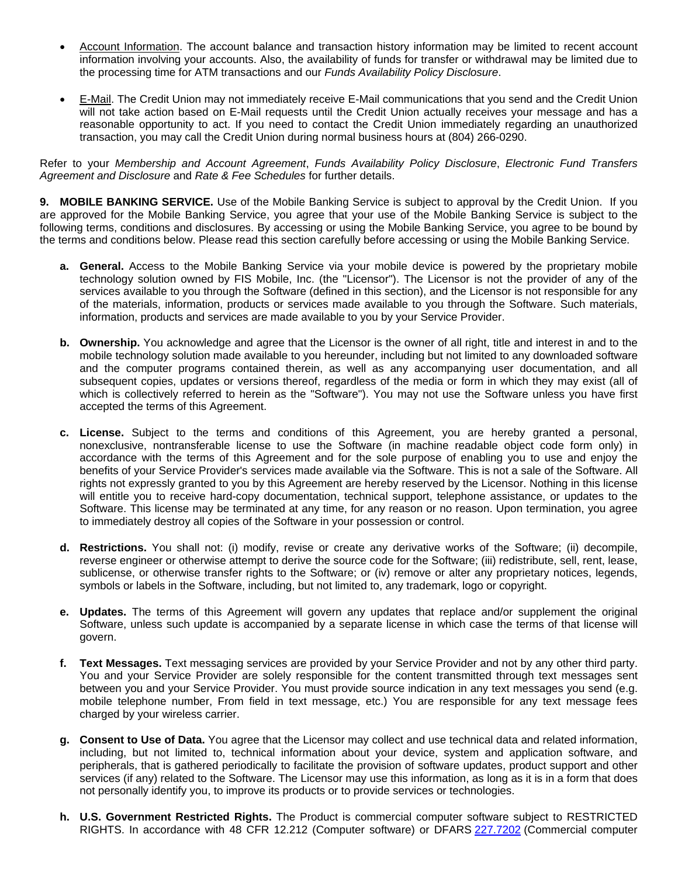- Account Information. The account balance and transaction history information may be limited to recent account information involving your accounts. Also, the availability of funds for transfer or withdrawal may be limited due to the processing time for ATM transactions and our *Funds Availability Policy Disclosure*.
- E-Mail. The Credit Union may not immediately receive E-Mail communications that you send and the Credit Union will not take action based on E-Mail requests until the Credit Union actually receives your message and has a reasonable opportunity to act. If you need to contact the Credit Union immediately regarding an unauthorized transaction, you may call the Credit Union during normal business hours at (804) 266-0290.

Refer to your *Membership and Account Agreement*, *Funds Availability Policy Disclosure*, *Electronic Fund Transfers Agreement and Disclosure* and *Rate & Fee Schedules* for further details.

**9. MOBILE BANKING SERVICE.** Use of the Mobile Banking Service is subject to approval by the Credit Union. If you are approved for the Mobile Banking Service, you agree that your use of the Mobile Banking Service is subject to the following terms, conditions and disclosures. By accessing or using the Mobile Banking Service, you agree to be bound by the terms and conditions below. Please read this section carefully before accessing or using the Mobile Banking Service.

- **a. General.** Access to the Mobile Banking Service via your mobile device is powered by the proprietary mobile technology solution owned by FIS Mobile, Inc. (the "Licensor"). The Licensor is not the provider of any of the services available to you through the Software (defined in this section), and the Licensor is not responsible for any of the materials, information, products or services made available to you through the Software. Such materials, information, products and services are made available to you by your Service Provider.
- **b.** Ownership. You acknowledge and agree that the Licensor is the owner of all right, title and interest in and to the mobile technology solution made available to you hereunder, including but not limited to any downloaded software and the computer programs contained therein, as well as any accompanying user documentation, and all subsequent copies, updates or versions thereof, regardless of the media or form in which they may exist (all of which is collectively referred to herein as the "Software"). You may not use the Software unless you have first accepted the terms of this Agreement.
- **c. License.** Subject to the terms and conditions of this Agreement, you are hereby granted a personal, nonexclusive, nontransferable license to use the Software (in machine readable object code form only) in accordance with the terms of this Agreement and for the sole purpose of enabling you to use and enjoy the benefits of your Service Provider's services made available via the Software. This is not a sale of the Software. All rights not expressly granted to you by this Agreement are hereby reserved by the Licensor. Nothing in this license will entitle you to receive hard-copy documentation, technical support, telephone assistance, or updates to the Software. This license may be terminated at any time, for any reason or no reason. Upon termination, you agree to immediately destroy all copies of the Software in your possession or control.
- **d. Restrictions.** You shall not: (i) modify, revise or create any derivative works of the Software; (ii) decompile, reverse engineer or otherwise attempt to derive the source code for the Software; (iii) redistribute, sell, rent, lease, sublicense, or otherwise transfer rights to the Software; or (iv) remove or alter any proprietary notices, legends, symbols or labels in the Software, including, but not limited to, any trademark, logo or copyright.
- **e. Updates.** The terms of this Agreement will govern any updates that replace and/or supplement the original Software, unless such update is accompanied by a separate license in which case the terms of that license will govern.
- **f. Text Messages.** Text messaging services are provided by your Service Provider and not by any other third party. You and your Service Provider are solely responsible for the content transmitted through text messages sent between you and your Service Provider. You must provide source indication in any text messages you send (e.g. mobile telephone number, From field in text message, etc.) You are responsible for any text message fees charged by your wireless carrier.
- **g. Consent to Use of Data.** You agree that the Licensor may collect and use technical data and related information, including, but not limited to, technical information about your device, system and application software, and peripherals, that is gathered periodically to facilitate the provision of software updates, product support and other services (if any) related to the Software. The Licensor may use this information, as long as it is in a form that does not personally identify you, to improve its products or to provide services or technologies.
- **h. U.S. Government Restricted Rights.** The Product is commercial computer software subject to RESTRICTED RIGHTS. In accordance with 48 CFR 12.212 (Computer software) or DFARS 227.7202 (Commercial computer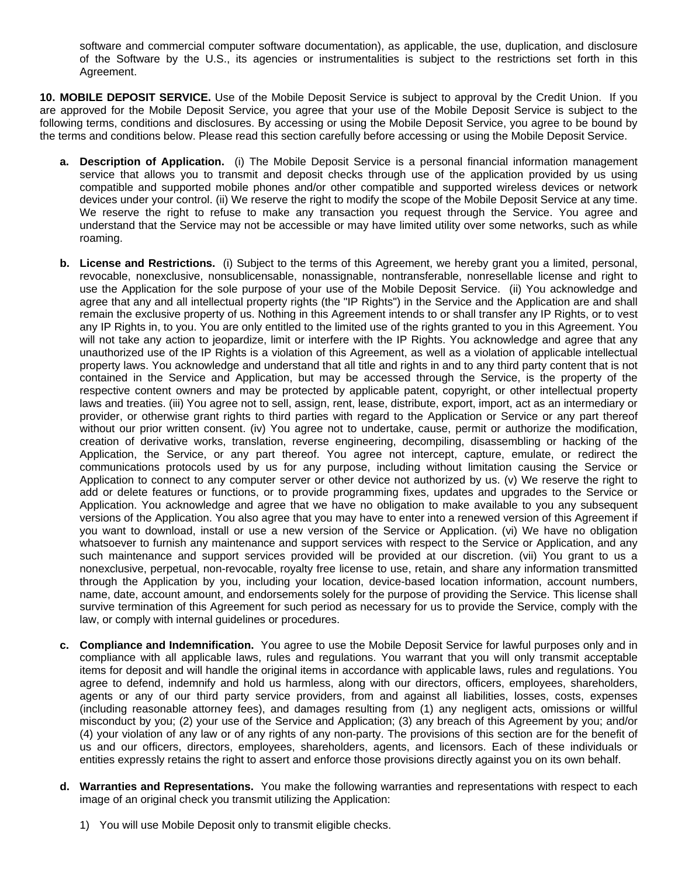software and commercial computer software documentation), as applicable, the use, duplication, and disclosure of the Software by the U.S., its agencies or instrumentalities is subject to the restrictions set forth in this Agreement.

**10. MOBILE DEPOSIT SERVICE.** Use of the Mobile Deposit Service is subject to approval by the Credit Union. If you are approved for the Mobile Deposit Service, you agree that your use of the Mobile Deposit Service is subject to the following terms, conditions and disclosures. By accessing or using the Mobile Deposit Service, you agree to be bound by the terms and conditions below. Please read this section carefully before accessing or using the Mobile Deposit Service.

- **a. Description of Application.** (i) The Mobile Deposit Service is a personal financial information management service that allows you to transmit and deposit checks through use of the application provided by us using compatible and supported mobile phones and/or other compatible and supported wireless devices or network devices under your control. (ii) We reserve the right to modify the scope of the Mobile Deposit Service at any time. We reserve the right to refuse to make any transaction you request through the Service. You agree and understand that the Service may not be accessible or may have limited utility over some networks, such as while roaming.
- **b. License and Restrictions.** (i) Subject to the terms of this Agreement, we hereby grant you a limited, personal, revocable, nonexclusive, nonsublicensable, nonassignable, nontransferable, nonresellable license and right to use the Application for the sole purpose of your use of the Mobile Deposit Service. (ii) You acknowledge and agree that any and all intellectual property rights (the "IP Rights") in the Service and the Application are and shall remain the exclusive property of us. Nothing in this Agreement intends to or shall transfer any IP Rights, or to vest any IP Rights in, to you. You are only entitled to the limited use of the rights granted to you in this Agreement. You will not take any action to jeopardize, limit or interfere with the IP Rights. You acknowledge and agree that any unauthorized use of the IP Rights is a violation of this Agreement, as well as a violation of applicable intellectual property laws. You acknowledge and understand that all title and rights in and to any third party content that is not contained in the Service and Application, but may be accessed through the Service, is the property of the respective content owners and may be protected by applicable patent, copyright, or other intellectual property laws and treaties. (iii) You agree not to sell, assign, rent, lease, distribute, export, import, act as an intermediary or provider, or otherwise grant rights to third parties with regard to the Application or Service or any part thereof without our prior written consent. (iv) You agree not to undertake, cause, permit or authorize the modification, creation of derivative works, translation, reverse engineering, decompiling, disassembling or hacking of the Application, the Service, or any part thereof. You agree not intercept, capture, emulate, or redirect the communications protocols used by us for any purpose, including without limitation causing the Service or Application to connect to any computer server or other device not authorized by us. (v) We reserve the right to add or delete features or functions, or to provide programming fixes, updates and upgrades to the Service or Application. You acknowledge and agree that we have no obligation to make available to you any subsequent versions of the Application. You also agree that you may have to enter into a renewed version of this Agreement if you want to download, install or use a new version of the Service or Application. (vi) We have no obligation whatsoever to furnish any maintenance and support services with respect to the Service or Application, and any such maintenance and support services provided will be provided at our discretion. (vii) You grant to us a nonexclusive, perpetual, non-revocable, royalty free license to use, retain, and share any information transmitted through the Application by you, including your location, device-based location information, account numbers, name, date, account amount, and endorsements solely for the purpose of providing the Service. This license shall survive termination of this Agreement for such period as necessary for us to provide the Service, comply with the law, or comply with internal guidelines or procedures.
- **c. Compliance and Indemnification.** You agree to use the Mobile Deposit Service for lawful purposes only and in compliance with all applicable laws, rules and regulations. You warrant that you will only transmit acceptable items for deposit and will handle the original items in accordance with applicable laws, rules and regulations. You agree to defend, indemnify and hold us harmless, along with our directors, officers, employees, shareholders, agents or any of our third party service providers, from and against all liabilities, losses, costs, expenses (including reasonable attorney fees), and damages resulting from (1) any negligent acts, omissions or willful misconduct by you; (2) your use of the Service and Application; (3) any breach of this Agreement by you; and/or (4) your violation of any law or of any rights of any non-party. The provisions of this section are for the benefit of us and our officers, directors, employees, shareholders, agents, and licensors. Each of these individuals or entities expressly retains the right to assert and enforce those provisions directly against you on its own behalf.
- **d. Warranties and Representations.** You make the following warranties and representations with respect to each image of an original check you transmit utilizing the Application:
	- 1) You will use Mobile Deposit only to transmit eligible checks.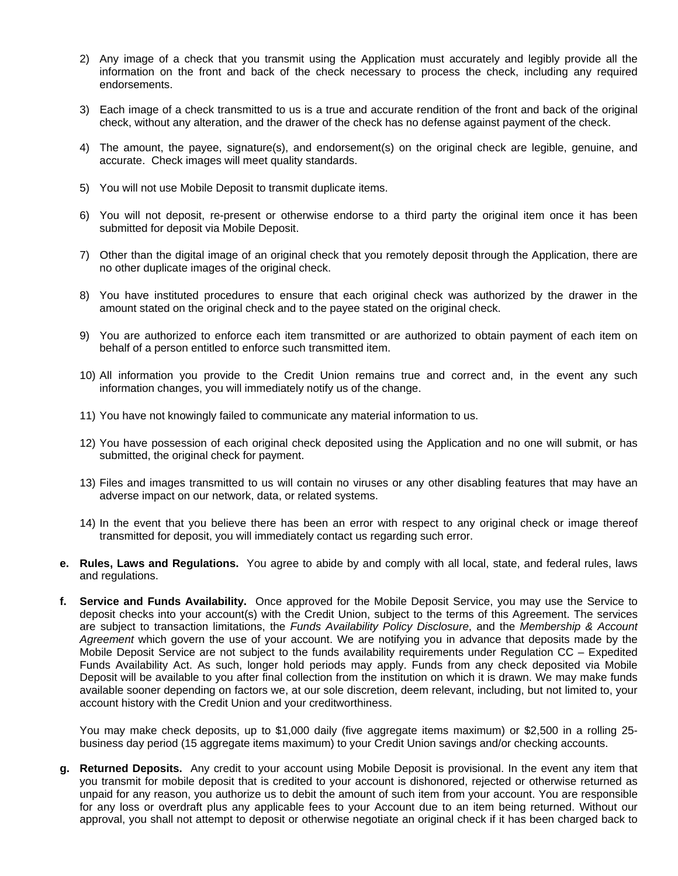- 2) Any image of a check that you transmit using the Application must accurately and legibly provide all the information on the front and back of the check necessary to process the check, including any required endorsements.
- 3) Each image of a check transmitted to us is a true and accurate rendition of the front and back of the original check, without any alteration, and the drawer of the check has no defense against payment of the check.
- 4) The amount, the payee, signature(s), and endorsement(s) on the original check are legible, genuine, and accurate. Check images will meet quality standards.
- 5) You will not use Mobile Deposit to transmit duplicate items.
- 6) You will not deposit, re-present or otherwise endorse to a third party the original item once it has been submitted for deposit via Mobile Deposit.
- 7) Other than the digital image of an original check that you remotely deposit through the Application, there are no other duplicate images of the original check.
- 8) You have instituted procedures to ensure that each original check was authorized by the drawer in the amount stated on the original check and to the payee stated on the original check.
- 9) You are authorized to enforce each item transmitted or are authorized to obtain payment of each item on behalf of a person entitled to enforce such transmitted item.
- 10) All information you provide to the Credit Union remains true and correct and, in the event any such information changes, you will immediately notify us of the change.
- 11) You have not knowingly failed to communicate any material information to us.
- 12) You have possession of each original check deposited using the Application and no one will submit, or has submitted, the original check for payment.
- 13) Files and images transmitted to us will contain no viruses or any other disabling features that may have an adverse impact on our network, data, or related systems.
- 14) In the event that you believe there has been an error with respect to any original check or image thereof transmitted for deposit, you will immediately contact us regarding such error.
- **e. Rules, Laws and Regulations.** You agree to abide by and comply with all local, state, and federal rules, laws and regulations.
- **f. Service and Funds Availability.** Once approved for the Mobile Deposit Service, you may use the Service to deposit checks into your account(s) with the Credit Union, subject to the terms of this Agreement. The services are subject to transaction limitations, the *Funds Availability Policy Disclosure*, and the *Membership & Account Agreement* which govern the use of your account. We are notifying you in advance that deposits made by the Mobile Deposit Service are not subject to the funds availability requirements under Regulation CC – Expedited Funds Availability Act. As such, longer hold periods may apply. Funds from any check deposited via Mobile Deposit will be available to you after final collection from the institution on which it is drawn. We may make funds available sooner depending on factors we, at our sole discretion, deem relevant, including, but not limited to, your account history with the Credit Union and your creditworthiness.

You may make check deposits, up to \$1,000 daily (five aggregate items maximum) or \$2,500 in a rolling 25 business day period (15 aggregate items maximum) to your Credit Union savings and/or checking accounts.

**g. Returned Deposits.** Any credit to your account using Mobile Deposit is provisional. In the event any item that you transmit for mobile deposit that is credited to your account is dishonored, rejected or otherwise returned as unpaid for any reason, you authorize us to debit the amount of such item from your account. You are responsible for any loss or overdraft plus any applicable fees to your Account due to an item being returned. Without our approval, you shall not attempt to deposit or otherwise negotiate an original check if it has been charged back to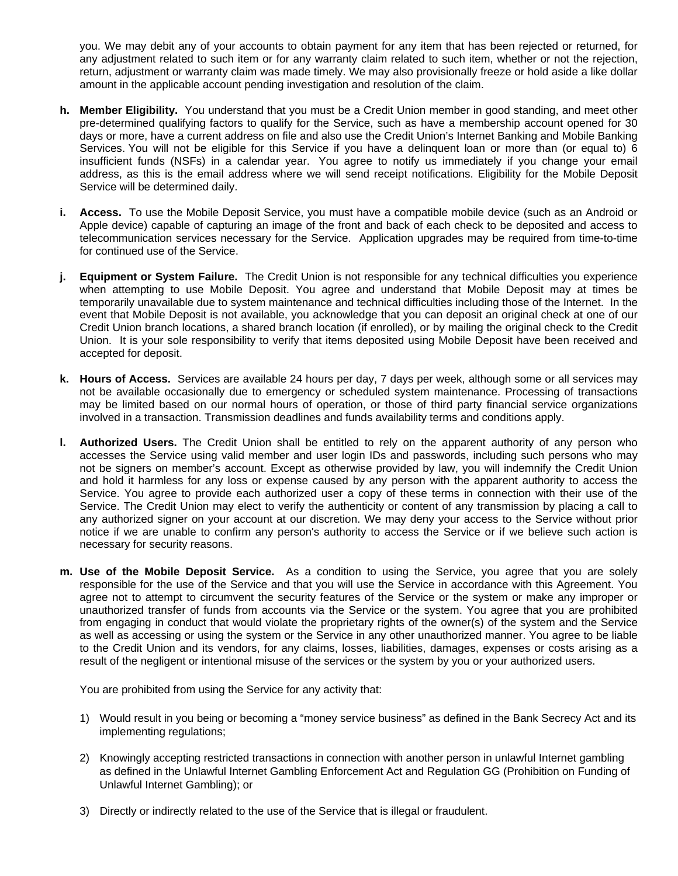you. We may debit any of your accounts to obtain payment for any item that has been rejected or returned, for any adjustment related to such item or for any warranty claim related to such item, whether or not the rejection, return, adjustment or warranty claim was made timely. We may also provisionally freeze or hold aside a like dollar amount in the applicable account pending investigation and resolution of the claim.

- **h. Member Eligibility.** You understand that you must be a Credit Union member in good standing, and meet other pre-determined qualifying factors to qualify for the Service, such as have a membership account opened for 30 days or more, have a current address on file and also use the Credit Union's Internet Banking and Mobile Banking Services. You will not be eligible for this Service if you have a delinquent loan or more than (or equal to) 6 insufficient funds (NSFs) in a calendar year. You agree to notify us immediately if you change your email address, as this is the email address where we will send receipt notifications. Eligibility for the Mobile Deposit Service will be determined daily.
- **i. Access.** To use the Mobile Deposit Service, you must have a compatible mobile device (such as an Android or Apple device) capable of capturing an image of the front and back of each check to be deposited and access to telecommunication services necessary for the Service. Application upgrades may be required from time-to-time for continued use of the Service.
- **j. Equipment or System Failure.** The Credit Union is not responsible for any technical difficulties you experience when attempting to use Mobile Deposit. You agree and understand that Mobile Deposit may at times be temporarily unavailable due to system maintenance and technical difficulties including those of the Internet. In the event that Mobile Deposit is not available, you acknowledge that you can deposit an original check at one of our Credit Union branch locations, a shared branch location (if enrolled), or by mailing the original check to the Credit Union. It is your sole responsibility to verify that items deposited using Mobile Deposit have been received and accepted for deposit.
- **k. Hours of Access.** Services are available 24 hours per day, 7 days per week, although some or all services may not be available occasionally due to emergency or scheduled system maintenance. Processing of transactions may be limited based on our normal hours of operation, or those of third party financial service organizations involved in a transaction. Transmission deadlines and funds availability terms and conditions apply.
- **l. Authorized Users.** The Credit Union shall be entitled to rely on the apparent authority of any person who accesses the Service using valid member and user login IDs and passwords, including such persons who may not be signers on member's account. Except as otherwise provided by law, you will indemnify the Credit Union and hold it harmless for any loss or expense caused by any person with the apparent authority to access the Service. You agree to provide each authorized user a copy of these terms in connection with their use of the Service. The Credit Union may elect to verify the authenticity or content of any transmission by placing a call to any authorized signer on your account at our discretion. We may deny your access to the Service without prior notice if we are unable to confirm any person's authority to access the Service or if we believe such action is necessary for security reasons.
- **m. Use of the Mobile Deposit Service.** As a condition to using the Service, you agree that you are solely responsible for the use of the Service and that you will use the Service in accordance with this Agreement. You agree not to attempt to circumvent the security features of the Service or the system or make any improper or unauthorized transfer of funds from accounts via the Service or the system. You agree that you are prohibited from engaging in conduct that would violate the proprietary rights of the owner(s) of the system and the Service as well as accessing or using the system or the Service in any other unauthorized manner. You agree to be liable to the Credit Union and its vendors, for any claims, losses, liabilities, damages, expenses or costs arising as a result of the negligent or intentional misuse of the services or the system by you or your authorized users.

You are prohibited from using the Service for any activity that:

- 1) Would result in you being or becoming a "money service business" as defined in the Bank Secrecy Act and its implementing regulations;
- 2) Knowingly accepting restricted transactions in connection with another person in unlawful Internet gambling as defined in the Unlawful Internet Gambling Enforcement Act and Regulation GG (Prohibition on Funding of Unlawful Internet Gambling); or
- 3) Directly or indirectly related to the use of the Service that is illegal or fraudulent.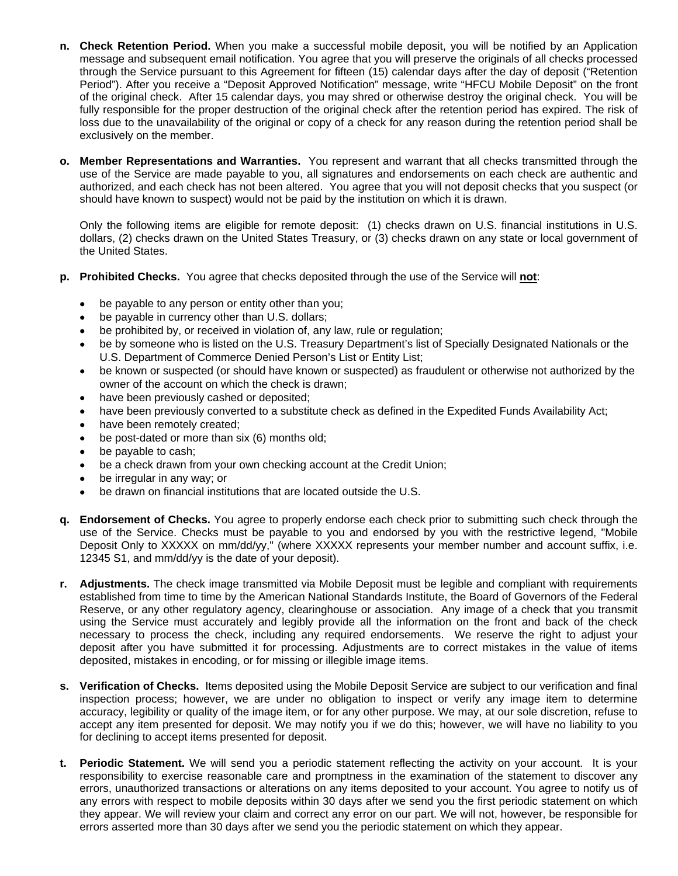- **n. Check Retention Period.** When you make a successful mobile deposit, you will be notified by an Application message and subsequent email notification. You agree that you will preserve the originals of all checks processed through the Service pursuant to this Agreement for fifteen (15) calendar days after the day of deposit ("Retention Period"). After you receive a "Deposit Approved Notification" message, write "HFCU Mobile Deposit" on the front of the original check. After 15 calendar days, you may shred or otherwise destroy the original check. You will be fully responsible for the proper destruction of the original check after the retention period has expired. The risk of loss due to the unavailability of the original or copy of a check for any reason during the retention period shall be exclusively on the member.
- **o. Member Representations and Warranties.** You represent and warrant that all checks transmitted through the use of the Service are made payable to you, all signatures and endorsements on each check are authentic and authorized, and each check has not been altered. You agree that you will not deposit checks that you suspect (or should have known to suspect) would not be paid by the institution on which it is drawn.

Only the following items are eligible for remote deposit: (1) checks drawn on U.S. financial institutions in U.S. dollars, (2) checks drawn on the United States Treasury, or (3) checks drawn on any state or local government of the United States.

- **p. Prohibited Checks.** You agree that checks deposited through the use of the Service will **not**:
	- be payable to any person or entity other than you;
	- be payable in currency other than U.S. dollars;
	- be prohibited by, or received in violation of, any law, rule or regulation;
	- be by someone who is listed on the U.S. Treasury Department's list of Specially Designated Nationals or the U.S. Department of Commerce Denied Person's List or Entity List;
	- be known or suspected (or should have known or suspected) as fraudulent or otherwise not authorized by the owner of the account on which the check is drawn;
	- have been previously cashed or deposited;
	- have been previously converted to a substitute check as defined in the Expedited Funds Availability Act;
	- have been remotely created;
	- be post-dated or more than six (6) months old;
	- be payable to cash;
	- be a check drawn from your own checking account at the Credit Union;
	- be irregular in any way; or
	- be drawn on financial institutions that are located outside the U.S.
- **q. Endorsement of Checks.** You agree to properly endorse each check prior to submitting such check through the use of the Service. Checks must be payable to you and endorsed by you with the restrictive legend, "Mobile Deposit Only to XXXXX on mm/dd/yy," (where XXXXX represents your member number and account suffix, i.e. 12345 S1, and mm/dd/yy is the date of your deposit).
- **r. Adjustments.** The check image transmitted via Mobile Deposit must be legible and compliant with requirements established from time to time by the American National Standards Institute, the Board of Governors of the Federal Reserve, or any other regulatory agency, clearinghouse or association. Any image of a check that you transmit using the Service must accurately and legibly provide all the information on the front and back of the check necessary to process the check, including any required endorsements. We reserve the right to adjust your deposit after you have submitted it for processing. Adjustments are to correct mistakes in the value of items deposited, mistakes in encoding, or for missing or illegible image items.
- **s. Verification of Checks.** Items deposited using the Mobile Deposit Service are subject to our verification and final inspection process; however, we are under no obligation to inspect or verify any image item to determine accuracy, legibility or quality of the image item, or for any other purpose. We may, at our sole discretion, refuse to accept any item presented for deposit. We may notify you if we do this; however, we will have no liability to you for declining to accept items presented for deposit.
- **t. Periodic Statement.** We will send you a periodic statement reflecting the activity on your account. It is your responsibility to exercise reasonable care and promptness in the examination of the statement to discover any errors, unauthorized transactions or alterations on any items deposited to your account. You agree to notify us of any errors with respect to mobile deposits within 30 days after we send you the first periodic statement on which they appear. We will review your claim and correct any error on our part. We will not, however, be responsible for errors asserted more than 30 days after we send you the periodic statement on which they appear.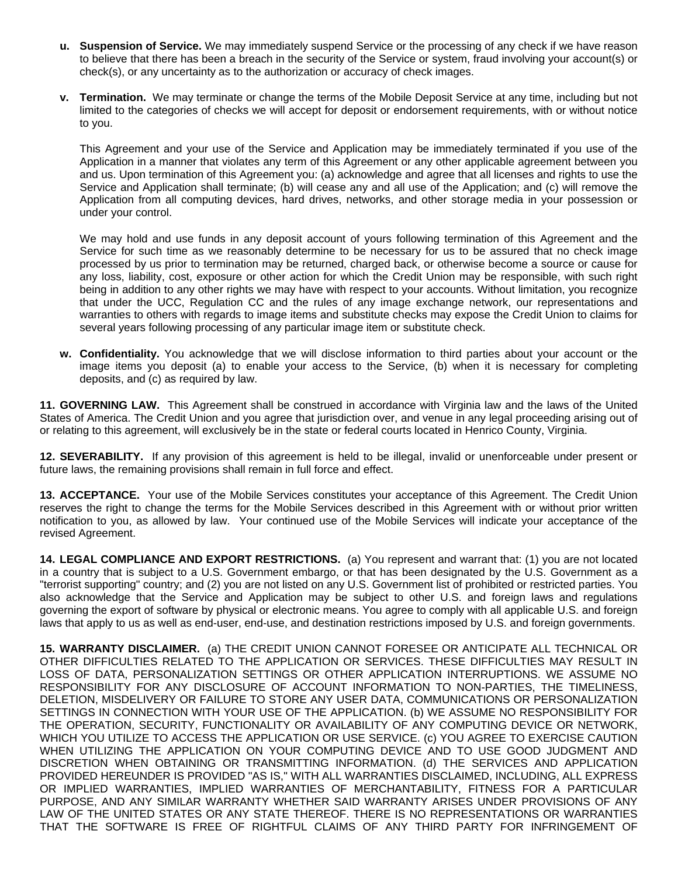- **u. Suspension of Service.** We may immediately suspend Service or the processing of any check if we have reason to believe that there has been a breach in the security of the Service or system, fraud involving your account(s) or check(s), or any uncertainty as to the authorization or accuracy of check images.
- **v. Termination.** We may terminate or change the terms of the Mobile Deposit Service at any time, including but not limited to the categories of checks we will accept for deposit or endorsement requirements, with or without notice to you.

This Agreement and your use of the Service and Application may be immediately terminated if you use of the Application in a manner that violates any term of this Agreement or any other applicable agreement between you and us. Upon termination of this Agreement you: (a) acknowledge and agree that all licenses and rights to use the Service and Application shall terminate; (b) will cease any and all use of the Application; and (c) will remove the Application from all computing devices, hard drives, networks, and other storage media in your possession or under your control.

We may hold and use funds in any deposit account of yours following termination of this Agreement and the Service for such time as we reasonably determine to be necessary for us to be assured that no check image processed by us prior to termination may be returned, charged back, or otherwise become a source or cause for any loss, liability, cost, exposure or other action for which the Credit Union may be responsible, with such right being in addition to any other rights we may have with respect to your accounts. Without limitation, you recognize that under the UCC, Regulation CC and the rules of any image exchange network, our representations and warranties to others with regards to image items and substitute checks may expose the Credit Union to claims for several years following processing of any particular image item or substitute check.

**w. Confidentiality.** You acknowledge that we will disclose information to third parties about your account or the image items you deposit (a) to enable your access to the Service, (b) when it is necessary for completing deposits, and (c) as required by law.

**11. GOVERNING LAW.** This Agreement shall be construed in accordance with Virginia law and the laws of the United States of America. The Credit Union and you agree that jurisdiction over, and venue in any legal proceeding arising out of or relating to this agreement, will exclusively be in the state or federal courts located in Henrico County, Virginia.

**12. SEVERABILITY.** If any provision of this agreement is held to be illegal, invalid or unenforceable under present or future laws, the remaining provisions shall remain in full force and effect.

**13. ACCEPTANCE.** Your use of the Mobile Services constitutes your acceptance of this Agreement. The Credit Union reserves the right to change the terms for the Mobile Services described in this Agreement with or without prior written notification to you, as allowed by law. Your continued use of the Mobile Services will indicate your acceptance of the revised Agreement.

**14. LEGAL COMPLIANCE AND EXPORT RESTRICTIONS.** (a) You represent and warrant that: (1) you are not located in a country that is subject to a U.S. Government embargo, or that has been designated by the U.S. Government as a "terrorist supporting" country; and (2) you are not listed on any U.S. Government list of prohibited or restricted parties. You also acknowledge that the Service and Application may be subject to other U.S. and foreign laws and regulations governing the export of software by physical or electronic means. You agree to comply with all applicable U.S. and foreign laws that apply to us as well as end-user, end-use, and destination restrictions imposed by U.S. and foreign governments.

**15. WARRANTY DISCLAIMER.** (a) THE CREDIT UNION CANNOT FORESEE OR ANTICIPATE ALL TECHNICAL OR OTHER DIFFICULTIES RELATED TO THE APPLICATION OR SERVICES. THESE DIFFICULTIES MAY RESULT IN LOSS OF DATA, PERSONALIZATION SETTINGS OR OTHER APPLICATION INTERRUPTIONS. WE ASSUME NO RESPONSIBILITY FOR ANY DISCLOSURE OF ACCOUNT INFORMATION TO NON-PARTIES, THE TIMELINESS, DELETION, MISDELIVERY OR FAILURE TO STORE ANY USER DATA, COMMUNICATIONS OR PERSONALIZATION SETTINGS IN CONNECTION WITH YOUR USE OF THE APPLICATION. (b) WE ASSUME NO RESPONSIBILITY FOR THE OPERATION, SECURITY, FUNCTIONALITY OR AVAILABILITY OF ANY COMPUTING DEVICE OR NETWORK, WHICH YOU UTILIZE TO ACCESS THE APPLICATION OR USE SERVICE. (c) YOU AGREE TO EXERCISE CAUTION WHEN UTILIZING THE APPLICATION ON YOUR COMPUTING DEVICE AND TO USE GOOD JUDGMENT AND DISCRETION WHEN OBTAINING OR TRANSMITTING INFORMATION. (d) THE SERVICES AND APPLICATION PROVIDED HEREUNDER IS PROVIDED "AS IS," WITH ALL WARRANTIES DISCLAIMED, INCLUDING, ALL EXPRESS OR IMPLIED WARRANTIES, IMPLIED WARRANTIES OF MERCHANTABILITY, FITNESS FOR A PARTICULAR PURPOSE, AND ANY SIMILAR WARRANTY WHETHER SAID WARRANTY ARISES UNDER PROVISIONS OF ANY LAW OF THE UNITED STATES OR ANY STATE THEREOF. THERE IS NO REPRESENTATIONS OR WARRANTIES THAT THE SOFTWARE IS FREE OF RIGHTFUL CLAIMS OF ANY THIRD PARTY FOR INFRINGEMENT OF